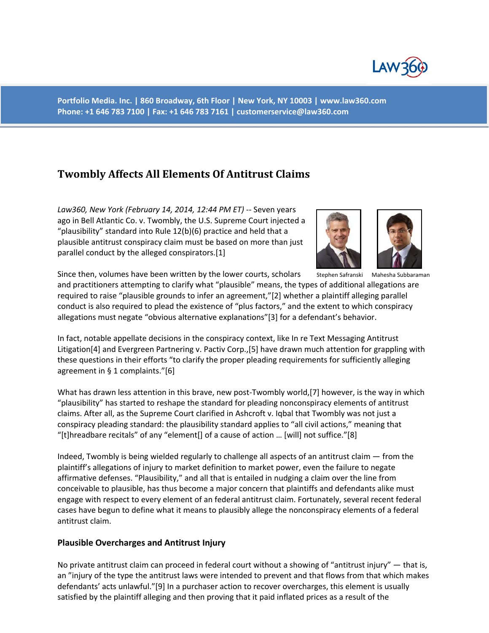

**Portfolio Media. Inc. | 860 Broadway, 6th Floor | New York, NY 10003 | www.law360.com Phone: +1 646 783 7100 | Fax: +1 646 783 7161 | customerservice@law360.com**

# **Twombly Affects All Elements Of Antitrust Claims**

*Law360, New York (February 14, 2014, 12:44 PM ET)* ‐‐ Seven years ago in Bell Atlantic Co. v. Twombly, the U.S. Supreme Court injected a "plausibility" standard into Rule 12(b)(6) practice and held that a plausible antitrust conspiracy claim must be based on more than just parallel conduct by the alleged conspirators.[1]



Since then, volumes have been written by the lower courts, scholars Stephen Safranski Mahesha Subbaraman

and practitioners attempting to clarify what "plausible" means, the types of additional allegations are required to raise "plausible grounds to infer an agreement,"[2] whether a plaintiff alleging parallel conduct is also required to plead the existence of "plus factors," and the extent to which conspiracy allegations must negate "obvious alternative explanations"[3] for a defendant's behavior.

In fact, notable appellate decisions in the conspiracy context, like In re Text Messaging Antitrust Litigation[4] and Evergreen Partnering v. Pactiv Corp.,[5] have drawn much attention for grappling with these questions in their efforts "to clarify the proper pleading requirements for sufficiently alleging agreement in § 1 complaints."[6]

What has drawn less attention in this brave, new post-Twombly world, [7] however, is the way in which "plausibility" has started to reshape the standard for pleading nonconspiracy elements of antitrust claims. After all, as the Supreme Court clarified in Ashcroft v. Iqbal that Twombly was not just a conspiracy pleading standard: the plausibility standard applies to "all civil actions," meaning that "[t]hreadbare recitals" of any "element[] of a cause of action … [will] not suffice."[8]

Indeed, Twombly is being wielded regularly to challenge all aspects of an antitrust claim — from the plaintiff's allegations of injury to market definition to market power, even the failure to negate affirmative defenses. "Plausibility," and all that is entailed in nudging a claim over the line from conceivable to plausible, has thus become a major concern that plaintiffs and defendants alike must engage with respect to every element of an federal antitrust claim. Fortunately, several recent federal cases have begun to define what it means to plausibly allege the nonconspiracy elements of a federal antitrust claim.

### **Plausible Overcharges and Antitrust Injury**

No private antitrust claim can proceed in federal court without a showing of "antitrust injury" — that is, an "injury of the type the antitrust laws were intended to prevent and that flows from that which makes defendants' acts unlawful."[9] In a purchaser action to recover overcharges, this element is usually satisfied by the plaintiff alleging and then proving that it paid inflated prices as a result of the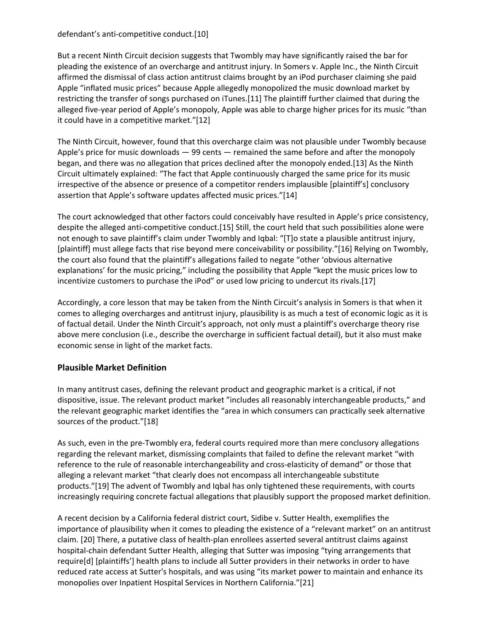### defendant's anti-competitive conduct.[10]

But a recent Ninth Circuit decision suggests that Twombly may have significantly raised the bar for pleading the existence of an overcharge and antitrust injury. In Somers v. Apple Inc., the Ninth Circuit affirmed the dismissal of class action antitrust claims brought by an iPod purchaser claiming she paid Apple "inflated music prices" because Apple allegedly monopolized the music download market by restricting the transfer of songs purchased on iTunes.[11] The plaintiff further claimed that during the alleged five‐year period of Apple's monopoly, Apple was able to charge higher prices for its music "than it could have in a competitive market."[12]

The Ninth Circuit, however, found that this overcharge claim was not plausible under Twombly because Apple's price for music downloads — 99 cents — remained the same before and after the monopoly began, and there was no allegation that prices declined after the monopoly ended.[13] As the Ninth Circuit ultimately explained: "The fact that Apple continuously charged the same price for its music irrespective of the absence or presence of a competitor renders implausible [plaintiff's] conclusory assertion that Apple's software updates affected music prices."[14]

The court acknowledged that other factors could conceivably have resulted in Apple's price consistency, despite the alleged anti‐competitive conduct.[15] Still, the court held that such possibilities alone were not enough to save plaintiff's claim under Twombly and Iqbal: "[T]o state a plausible antitrust injury, [plaintiff] must allege facts that rise beyond mere conceivability or possibility."[16] Relying on Twombly, the court also found that the plaintiff's allegations failed to negate "other 'obvious alternative explanations' for the music pricing," including the possibility that Apple "kept the music prices low to incentivize customers to purchase the iPod" or used low pricing to undercut its rivals.[17]

Accordingly, a core lesson that may be taken from the Ninth Circuit's analysis in Somers is that when it comes to alleging overcharges and antitrust injury, plausibility is as much a test of economic logic as it is of factual detail. Under the Ninth Circuit's approach, not only must a plaintiff's overcharge theory rise above mere conclusion (i.e., describe the overcharge in sufficient factual detail), but it also must make economic sense in light of the market facts.

# **Plausible Market Definition**

In many antitrust cases, defining the relevant product and geographic market is a critical, if not dispositive, issue. The relevant product market "includes all reasonably interchangeable products," and the relevant geographic market identifies the "area in which consumers can practically seek alternative sources of the product."[18]

As such, even in the pre‐Twombly era, federal courts required more than mere conclusory allegations regarding the relevant market, dismissing complaints that failed to define the relevant market "with reference to the rule of reasonable interchangeability and cross-elasticity of demand" or those that alleging a relevant market "that clearly does not encompass all interchangeable substitute products."[19] The advent of Twombly and Iqbal has only tightened these requirements, with courts increasingly requiring concrete factual allegations that plausibly support the proposed market definition.

A recent decision by a California federal district court, Sidibe v. Sutter Health, exemplifies the importance of plausibility when it comes to pleading the existence of a "relevant market" on an antitrust claim. [20] There, a putative class of health‐plan enrollees asserted several antitrust claims against hospital‐chain defendant Sutter Health, alleging that Sutter was imposing "tying arrangements that require[d] [plaintiffs'] health plans to include all Sutter providers in their networks in order to have reduced rate access at Sutter's hospitals, and was using "its market power to maintain and enhance its monopolies over Inpatient Hospital Services in Northern California."[21]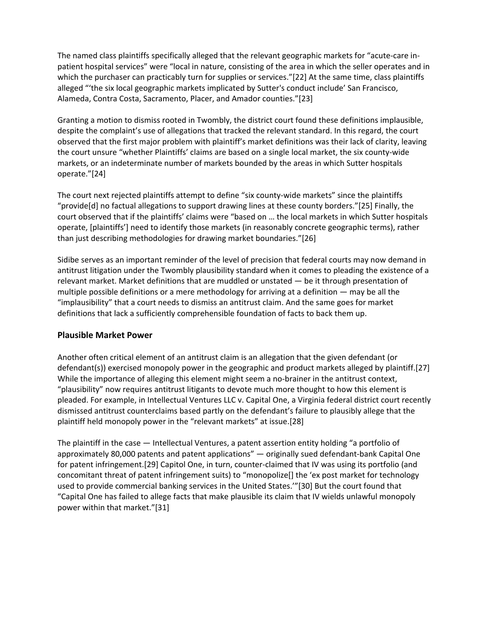The named class plaintiffs specifically alleged that the relevant geographic markets for "acute‐care in‐ patient hospital services" were "local in nature, consisting of the area in which the seller operates and in which the purchaser can practicably turn for supplies or services."[22] At the same time, class plaintiffs alleged "'the six local geographic markets implicated by Sutter's conduct include' San Francisco, Alameda, Contra Costa, Sacramento, Placer, and Amador counties."[23]

Granting a motion to dismiss rooted in Twombly, the district court found these definitions implausible, despite the complaint's use of allegations that tracked the relevant standard. In this regard, the court observed that the first major problem with plaintiff's market definitions was their lack of clarity, leaving the court unsure "whether Plaintiffs' claims are based on a single local market, the six county‐wide markets, or an indeterminate number of markets bounded by the areas in which Sutter hospitals operate."[24]

The court next rejected plaintiffs attempt to define "six county-wide markets" since the plaintiffs "provide[d] no factual allegations to support drawing lines at these county borders."[25] Finally, the court observed that if the plaintiffs' claims were "based on … the local markets in which Sutter hospitals operate, [plaintiffs'] need to identify those markets (in reasonably concrete geographic terms), rather than just describing methodologies for drawing market boundaries."[26]

Sidibe serves as an important reminder of the level of precision that federal courts may now demand in antitrust litigation under the Twombly plausibility standard when it comes to pleading the existence of a relevant market. Market definitions that are muddled or unstated — be it through presentation of multiple possible definitions or a mere methodology for arriving at a definition — may be all the "implausibility" that a court needs to dismiss an antitrust claim. And the same goes for market definitions that lack a sufficiently comprehensible foundation of facts to back them up.

### **Plausible Market Power**

Another often critical element of an antitrust claim is an allegation that the given defendant (or defendant(s)) exercised monopoly power in the geographic and product markets alleged by plaintiff.[27] While the importance of alleging this element might seem a no-brainer in the antitrust context, "plausibility" now requires antitrust litigants to devote much more thought to how this element is pleaded. For example, in Intellectual Ventures LLC v. Capital One, a Virginia federal district court recently dismissed antitrust counterclaims based partly on the defendant's failure to plausibly allege that the plaintiff held monopoly power in the "relevant markets" at issue.[28]

The plaintiff in the case — Intellectual Ventures, a patent assertion entity holding "a portfolio of approximately 80,000 patents and patent applications" — originally sued defendant‐bank Capital One for patent infringement.[29] Capitol One, in turn, counter‐claimed that IV was using its portfolio (and concomitant threat of patent infringement suits) to "monopolize[] the 'ex post market for technology used to provide commercial banking services in the United States.'"[30] But the court found that "Capital One has failed to allege facts that make plausible its claim that IV wields unlawful monopoly power within that market."[31]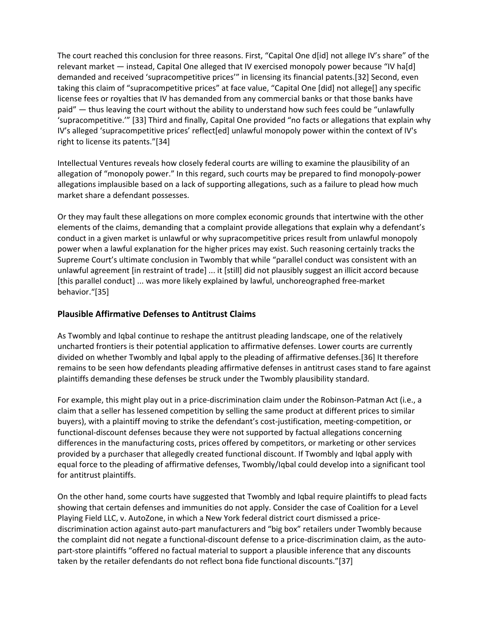The court reached this conclusion for three reasons. First, "Capital One d[id] not allege IV's share" of the relevant market — instead, Capital One alleged that IV exercised monopoly power because "IV ha[d] demanded and received 'supracompetitive prices'" in licensing its financial patents.[32] Second, even taking this claim of "supracompetitive prices" at face value, "Capital One [did] not allege[] any specific license fees or royalties that IV has demanded from any commercial banks or that those banks have paid" — thus leaving the court without the ability to understand how such fees could be "unlawfully 'supracompetitive.'" [33] Third and finally, Capital One provided "no facts or allegations that explain why IV's alleged 'supracompetitive prices' reflect[ed] unlawful monopoly power within the context of IV's right to license its patents."[34]

Intellectual Ventures reveals how closely federal courts are willing to examine the plausibility of an allegation of "monopoly power." In this regard, such courts may be prepared to find monopoly‐power allegations implausible based on a lack of supporting allegations, such as a failure to plead how much market share a defendant possesses.

Or they may fault these allegations on more complex economic grounds that intertwine with the other elements of the claims, demanding that a complaint provide allegations that explain why a defendant's conduct in a given market is unlawful or why supracompetitive prices result from unlawful monopoly power when a lawful explanation for the higher prices may exist. Such reasoning certainly tracks the Supreme Court's ultimate conclusion in Twombly that while "parallel conduct was consistent with an unlawful agreement [in restraint of trade] ... it [still] did not plausibly suggest an illicit accord because [this parallel conduct] ... was more likely explained by lawful, unchoreographed free‐market behavior."[35]

## **Plausible Affirmative Defenses to Antitrust Claims**

As Twombly and Iqbal continue to reshape the antitrust pleading landscape, one of the relatively uncharted frontiers is their potential application to affirmative defenses. Lower courts are currently divided on whether Twombly and Iqbal apply to the pleading of affirmative defenses.[36] It therefore remains to be seen how defendants pleading affirmative defenses in antitrust cases stand to fare against plaintiffs demanding these defenses be struck under the Twombly plausibility standard.

For example, this might play out in a price-discrimination claim under the Robinson-Patman Act (i.e., a claim that a seller has lessened competition by selling the same product at different prices to similar buyers), with a plaintiff moving to strike the defendant's cost-justification, meeting-competition, or functional‐discount defenses because they were not supported by factual allegations concerning differences in the manufacturing costs, prices offered by competitors, or marketing or other services provided by a purchaser that allegedly created functional discount. If Twombly and Iqbal apply with equal force to the pleading of affirmative defenses, Twombly/Iqbal could develop into a significant tool for antitrust plaintiffs.

On the other hand, some courts have suggested that Twombly and Iqbal require plaintiffs to plead facts showing that certain defenses and immunities do not apply. Consider the case of Coalition for a Level Playing Field LLC, v. AutoZone, in which a New York federal district court dismissed a price‐ discrimination action against auto‐part manufacturers and "big box" retailers under Twombly because the complaint did not negate a functional-discount defense to a price-discrimination claim, as the autopart‐store plaintiffs "offered no factual material to support a plausible inference that any discounts taken by the retailer defendants do not reflect bona fide functional discounts."[37]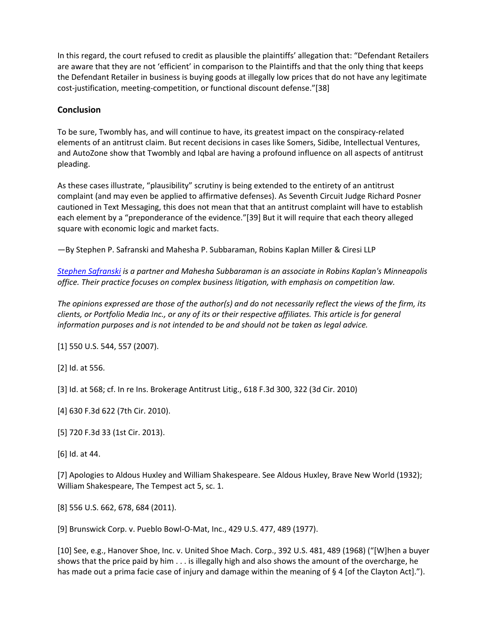In this regard, the court refused to credit as plausible the plaintiffs' allegation that: "Defendant Retailers are aware that they are not 'efficient' in comparison to the Plaintiffs and that the only thing that keeps the Defendant Retailer in business is buying goods at illegally low prices that do not have any legitimate cost‐justification, meeting‐competition, or functional discount defense."[38]

## **Conclusion**

To be sure, Twombly has, and will continue to have, its greatest impact on the conspiracy‐related elements of an antitrust claim. But recent decisions in cases like Somers, Sidibe, Intellectual Ventures, and AutoZone show that Twombly and Iqbal are having a profound influence on all aspects of antitrust pleading.

As these cases illustrate, "plausibility" scrutiny is being extended to the entirety of an antitrust complaint (and may even be applied to affirmative defenses). As Seventh Circuit Judge Richard Posner cautioned in Text Messaging, this does not mean that that an antitrust complaint will have to establish each element by a "preponderance of the evidence."[39] But it will require that each theory alleged square with economic logic and market facts.

—By Stephen P. Safranski and Mahesha P. Subbaraman, Robins Kaplan Miller & Ciresi LLP

*Stephen Safranski is a partner and Mahesha Subbaraman is an associate in Robins Kaplan's Minneapolis office. Their practice focuses on complex business litigation, with emphasis on competition law.*

The opinions expressed are those of the author(s) and do not necessarily reflect the views of the firm, its clients, or Portfolio Media Inc., or any of its or their respective affiliates. This article is for general *information purposes and is not intended to be and should not be taken as legal advice.*

[1] 550 U.S. 544, 557 (2007).

[2] Id. at 556.

[3] Id. at 568; cf. In re Ins. Brokerage Antitrust Litig., 618 F.3d 300, 322 (3d Cir. 2010)

[4] 630 F.3d 622 (7th Cir. 2010).

[5] 720 F.3d 33 (1st Cir. 2013).

[6] Id. at 44.

[7] Apologies to Aldous Huxley and William Shakespeare. See Aldous Huxley, Brave New World (1932); William Shakespeare, The Tempest act 5, sc. 1.

[8] 556 U.S. 662, 678, 684 (2011).

[9] Brunswick Corp. v. Pueblo Bowl‐O‐Mat, Inc., 429 U.S. 477, 489 (1977).

[10] See, e.g., Hanover Shoe, Inc. v. United Shoe Mach. Corp., 392 U.S. 481, 489 (1968) ("[W]hen a buyer shows that the price paid by him . . . is illegally high and also shows the amount of the overcharge, he has made out a prima facie case of injury and damage within the meaning of § 4 [of the Clayton Act].").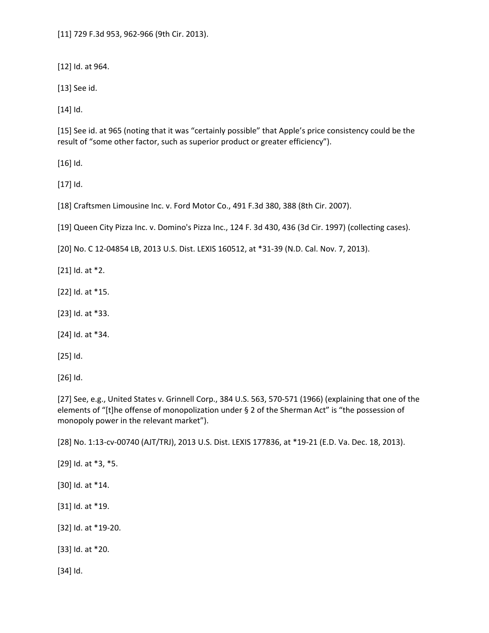[11] 729 F.3d 953, 962‐966 (9th Cir. 2013).

[12] Id. at 964.

[13] See id.

[14] Id.

[15] See id. at 965 (noting that it was "certainly possible" that Apple's price consistency could be the result of "some other factor, such as superior product or greater efficiency").

[16] Id.

[17] Id.

[18] Craftsmen Limousine Inc. v. Ford Motor Co., 491 F.3d 380, 388 (8th Cir. 2007).

[19] Queen City Pizza Inc. v. Domino's Pizza Inc., 124 F. 3d 430, 436 (3d Cir. 1997) (collecting cases).

[20] No. C 12‐04854 LB, 2013 U.S. Dist. LEXIS 160512, at \*31‐39 (N.D. Cal. Nov. 7, 2013).

[21] Id. at \*2.

[22] Id. at \*15.

[23] Id. at \*33.

[24] Id. at \*34.

[25] Id.

[26] Id.

[27] See, e.g., United States v. Grinnell Corp., 384 U.S. 563, 570-571 (1966) (explaining that one of the elements of "[t]he offense of monopolization under § 2 of the Sherman Act" is "the possession of monopoly power in the relevant market").

[28] No. 1:13-cv-00740 (AJT/TRJ), 2013 U.S. Dist. LEXIS 177836, at \*19-21 (E.D. Va. Dec. 18, 2013).

[29] Id. at \*3, \*5.

[30] Id. at \*14.

[31] Id. at \*19.

[32] Id. at \*19‐20.

[33] Id. at \*20.

[34] Id.